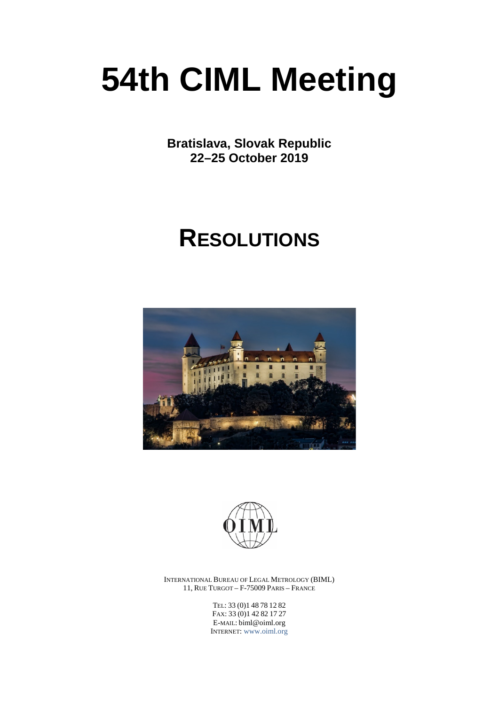# **54th CIML Meeting**

**Bratislava, Slovak Republic 22–25 October 2019**

## **RESOLUTIONS**





INTERNATIONAL BUREAU OF LEGAL METROLOGY (BIML) 11, RUE TURGOT – F-75009 PARIS – FRANCE

> TEL: 33 (0)1 48 78 12 82 FAX: 33 (0)1 42 82 17 27 E-MAIL: biml@oiml.org INTERNET: [www.oiml.org](http://www.oiml.org/)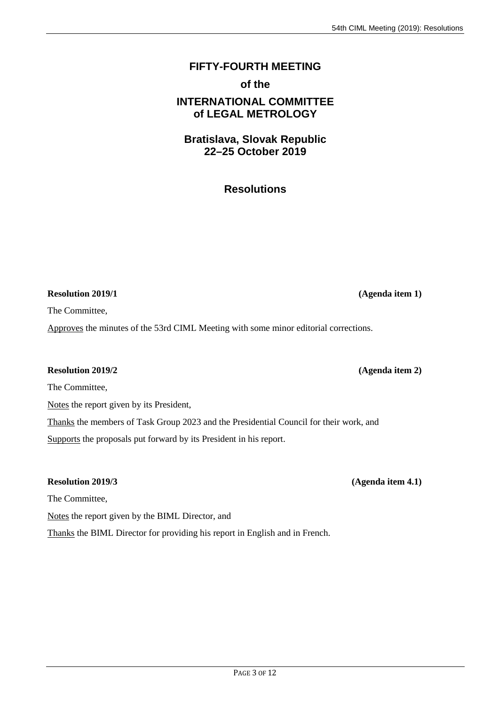### **FIFTY-FOURTH MEETING**

### **of the**

### **INTERNATIONAL COMMITTEE of LEGAL METROLOGY**

### **Bratislava, Slovak Republic 22–25 October 2019**

### **Resolutions**

**Resolution 2019/1 (Agenda item 1)**

The Committee,

Approves the minutes of the 53rd CIML Meeting with some minor editorial corrections.

### **Resolution 2019/2 (Agenda item 2)**

The Committee,

Notes the report given by its President,

Thanks the members of Task Group 2023 and the Presidential Council for their work, and Supports the proposals put forward by its President in his report.

### **Resolution 2019/3 (Agenda item 4.1)**

The Committee,

Notes the report given by the BIML Director, and

Thanks the BIML Director for providing his report in English and in French.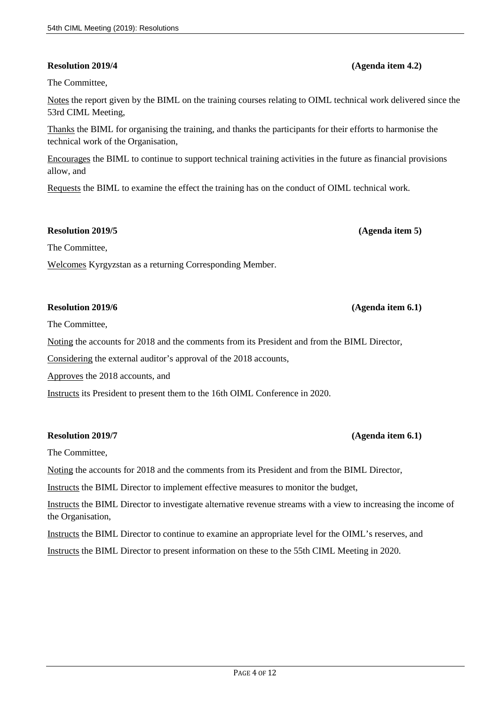### **Resolution 2019/4 (Agenda item 4.2)**

The Committee,

Notes the report given by the BIML on the training courses relating to OIML technical work delivered since the 53rd CIML Meeting,

Thanks the BIML for organising the training, and thanks the participants for their efforts to harmonise the technical work of the Organisation,

Encourages the BIML to continue to support technical training activities in the future as financial provisions allow, and

Requests the BIML to examine the effect the training has on the conduct of OIML technical work.

#### **Resolution 2019/5 (Agenda item 5)**

The Committee,

Welcomes Kyrgyzstan as a returning Corresponding Member.

#### **Resolution 2019/6 (Agenda item 6.1)**

The Committee,

Noting the accounts for 2018 and the comments from its President and from the BIML Director,

Considering the external auditor's approval of the 2018 accounts,

Approves the 2018 accounts, and

Instructs its President to present them to the 16th OIML Conference in 2020.

#### **Resolution 2019/7 (Agenda item 6.1)**

The Committee,

Noting the accounts for 2018 and the comments from its President and from the BIML Director,

Instructs the BIML Director to implement effective measures to monitor the budget,

Instructs the BIML Director to investigate alternative revenue streams with a view to increasing the income of the Organisation,

Instructs the BIML Director to continue to examine an appropriate level for the OIML's reserves, and

Instructs the BIML Director to present information on these to the 55th CIML Meeting in 2020.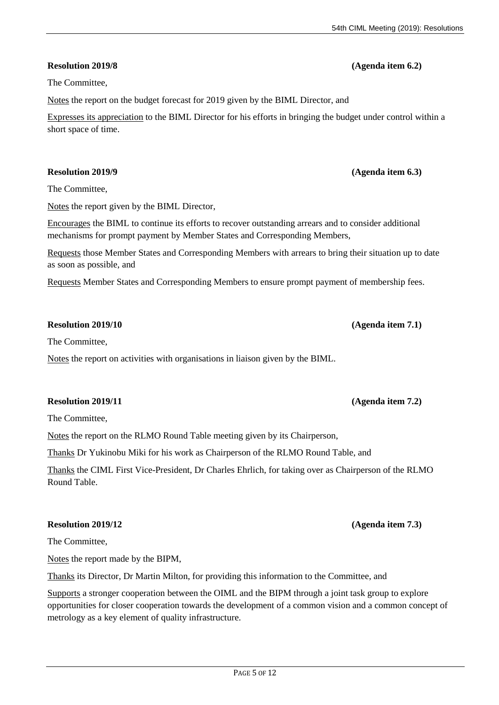### **Resolution 2019/8 (Agenda item 6.2)**

The Committee,

Notes the report on the budget forecast for 2019 given by the BIML Director, and

Expresses its appreciation to the BIML Director for his efforts in bringing the budget under control within a short space of time.

### **Resolution 2019/9 (Agenda item 6.3)**

The Committee,

Notes the report given by the BIML Director,

Encourages the BIML to continue its efforts to recover outstanding arrears and to consider additional mechanisms for prompt payment by Member States and Corresponding Members,

Requests those Member States and Corresponding Members with arrears to bring their situation up to date as soon as possible, and

Requests Member States and Corresponding Members to ensure prompt payment of membership fees.

### **Resolution 2019/10 (Agenda item 7.1)**

The Committee,

Notes the report on activities with organisations in liaison given by the BIML.

### **Resolution 2019/11 (Agenda item 7.2)**

The Committee,

Notes the report on the RLMO Round Table meeting given by its Chairperson,

Thanks Dr Yukinobu Miki for his work as Chairperson of the RLMO Round Table, and

Thanks the CIML First Vice-President, Dr Charles Ehrlich, for taking over as Chairperson of the RLMO Round Table.

### **Resolution 2019/12 (Agenda item 7.3)**

The Committee,

Notes the report made by the BIPM,

Thanks its Director, Dr Martin Milton, for providing this information to the Committee, and

Supports a stronger cooperation between the OIML and the BIPM through a joint task group to explore opportunities for closer cooperation towards the development of a common vision and a common concept of metrology as a key element of quality infrastructure.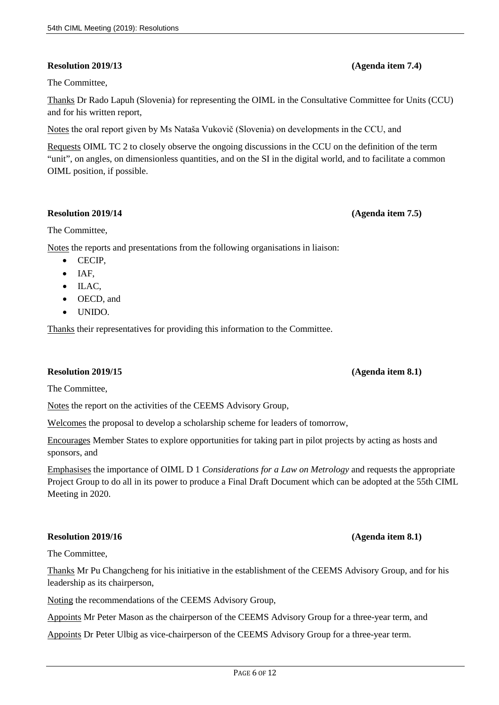### **Resolution 2019/13 (Agenda item 7.4)**

### The Committee,

Thanks Dr Rado Lapuh (Slovenia) for representing the OIML in the Consultative Committee for Units (CCU) and for his written report,

Notes the oral report given by Ms Nataša Vukovič (Slovenia) on developments in the CCU, and

Requests OIML TC 2 to closely observe the ongoing discussions in the CCU on the definition of the term "unit", on angles, on dimensionless quantities, and on the SI in the digital world, and to facilitate a common OIML position, if possible.

### **Resolution 2019/14 (Agenda item 7.5)**

The Committee,

Notes the reports and presentations from the following organisations in liaison:

- CECIP,
- IAF,
- ILAC,
- OECD, and
- UNIDO.

Thanks their representatives for providing this information to the Committee.

### **Resolution 2019/15 (Agenda item 8.1)**

The Committee,

Notes the report on the activities of the CEEMS Advisory Group,

Welcomes the proposal to develop a scholarship scheme for leaders of tomorrow,

Encourages Member States to explore opportunities for taking part in pilot projects by acting as hosts and sponsors, and

Emphasises the importance of OIML D 1 *Considerations for a Law on Metrology* and requests the appropriate Project Group to do all in its power to produce a Final Draft Document which can be adopted at the 55th CIML Meeting in 2020.

### **Resolution 2019/16 (Agenda item 8.1)**

The Committee,

Thanks Mr Pu Changcheng for his initiative in the establishment of the CEEMS Advisory Group, and for his leadership as its chairperson,

Noting the recommendations of the CEEMS Advisory Group,

Appoints Mr Peter Mason as the chairperson of the CEEMS Advisory Group for a three-year term, and

Appoints Dr Peter Ulbig as vice-chairperson of the CEEMS Advisory Group for a three-year term.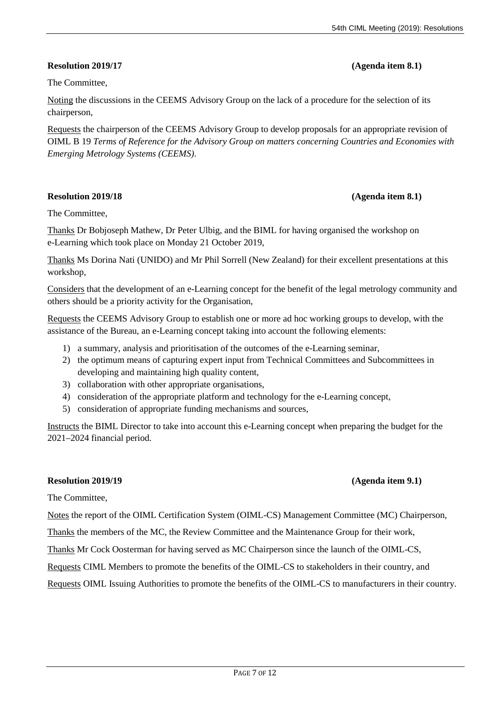### **Resolution 2019/17 (Agenda item 8.1)**

The Committee,

Noting the discussions in the CEEMS Advisory Group on the lack of a procedure for the selection of its chairperson,

Requests the chairperson of the CEEMS Advisory Group to develop proposals for an appropriate revision of OIML B 19 *Terms of Reference for the Advisory Group on matters concerning Countries and Economies with Emerging Metrology Systems (CEEMS)*.

### **Resolution 2019/18 (Agenda item 8.1)**

The Committee,

Thanks Dr Bobjoseph Mathew, Dr Peter Ulbig, and the BIML for having organised the workshop on e-Learning which took place on Monday 21 October 2019,

Thanks Ms Dorina Nati (UNIDO) and Mr Phil Sorrell (New Zealand) for their excellent presentations at this workshop,

Considers that the development of an e-Learning concept for the benefit of the legal metrology community and others should be a priority activity for the Organisation,

Requests the CEEMS Advisory Group to establish one or more ad hoc working groups to develop, with the assistance of the Bureau, an e-Learning concept taking into account the following elements:

- 1) a summary, analysis and prioritisation of the outcomes of the e-Learning seminar,
- 2) the optimum means of capturing expert input from Technical Committees and Subcommittees in developing and maintaining high quality content,
- 3) collaboration with other appropriate organisations,
- 4) consideration of the appropriate platform and technology for the e-Learning concept,
- 5) consideration of appropriate funding mechanisms and sources,

Instructs the BIML Director to take into account this e-Learning concept when preparing the budget for the 2021–2024 financial period.

#### **Resolution 2019/19 (Agenda item 9.1)**

The Committee,

Notes the report of the OIML Certification System (OIML-CS) Management Committee (MC) Chairperson,

Thanks the members of the MC, the Review Committee and the Maintenance Group for their work,

Thanks Mr Cock Oosterman for having served as MC Chairperson since the launch of the OIML-CS,

Requests CIML Members to promote the benefits of the OIML-CS to stakeholders in their country, and

Requests OIML Issuing Authorities to promote the benefits of the OIML-CS to manufacturers in their country.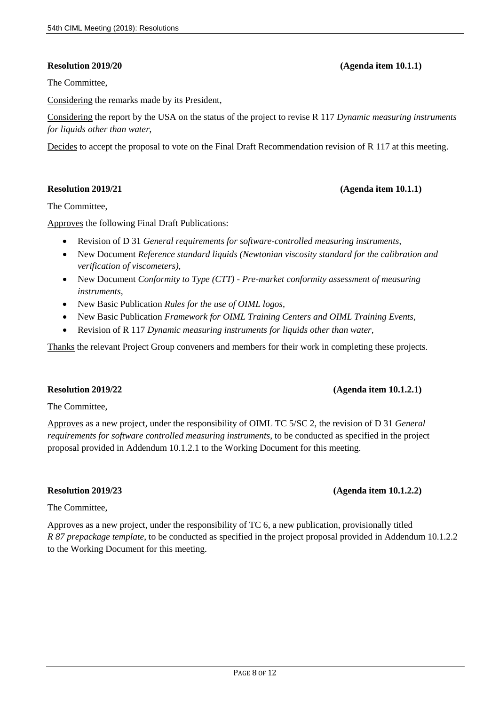The Committee,

Considering the remarks made by its President,

Considering the report by the USA on the status of the project to revise R 117 *Dynamic measuring instruments for liquids other than water*,

Decides to accept the proposal to vote on the Final Draft Recommendation revision of R 117 at this meeting.

#### **Resolution 2019/21 (Agenda item 10.1.1)**

The Committee,

Approves the following Final Draft Publications:

- Revision of D 31 *General requirements for software-controlled measuring instruments*,
- New Document *Reference standard liquids (Newtonian viscosity standard for the calibration and verification of viscometers),*
- New Document *Conformity to Type (CTT) - Pre-market conformity assessment of measuring instruments,*
- New Basic Publication *Rules for the use of OIML logos,*
- New Basic Publication *Framework for OIML Training Centers and OIML Training Events,*
- Revision of R 117 *Dynamic measuring instruments for liquids other than water,*

Thanks the relevant Project Group conveners and members for their work in completing these projects.

### **Resolution 2019/22 (Agenda item 10.1.2.1)**

The Committee,

Approves as a new project, under the responsibility of OIML TC 5/SC 2, the revision of D 31 *General requirements for software controlled measuring instruments*, to be conducted as specified in the project proposal provided in Addendum 10.1.2.1 to the Working Document for this meeting.

### **Resolution 2019/23 (Agenda item 10.1.2.2)**

The Committee,

Approves as a new project, under the responsibility of TC 6, a new publication, provisionally titled *R 87 prepackage template*, to be conducted as specified in the project proposal provided in Addendum 10.1.2.2 to the Working Document for this meeting.

**Resolution 2019/20 (Agenda item 10.1.1)**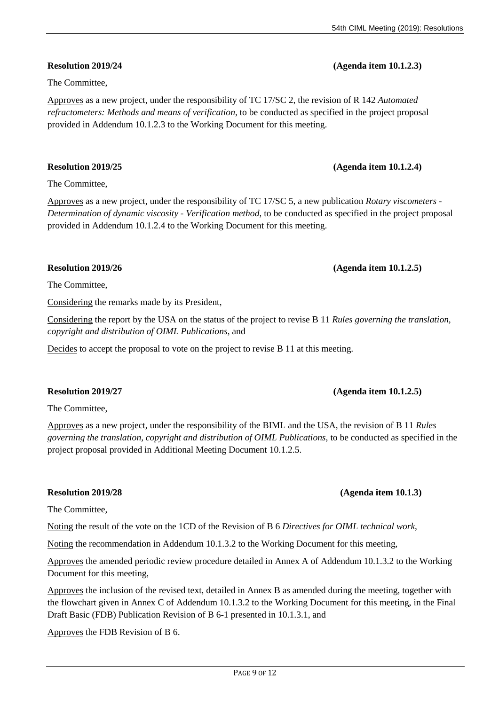### **Resolution 2019/24 (Agenda item 10.1.2.3)**

Approves as a new project, under the responsibility of TC 17/SC 2, the revision of R 142 *Automated refractometers: Methods and means of verification*, to be conducted as specified in the project proposal provided in Addendum 10.1.2.3 to the Working Document for this meeting.

### **Resolution 2019/25 (Agenda item 10.1.2.4)**

The Committee,

The Committee,

Approves as a new project, under the responsibility of TC 17/SC 5, a new publication *Rotary viscometers - Determination of dynamic viscosity - Verification method*, to be conducted as specified in the project proposal provided in Addendum 10.1.2.4 to the Working Document for this meeting.

The Committee,

Considering the remarks made by its President,

Considering the report by the USA on the status of the project to revise B 11 *Rules governing the translation, copyright and distribution of OIML Publications*, and

Decides to accept the proposal to vote on the project to revise B 11 at this meeting.

### **Resolution 2019/27 (Agenda item 10.1.2.5)**

The Committee,

Approves as a new project, under the responsibility of the BIML and the USA, the revision of B 11 *Rules governing the translation, copyright and distribution of OIML Publications*, to be conducted as specified in the project proposal provided in Additional Meeting Document 10.1.2.5.

### **Resolution 2019/28 (Agenda item 10.1.3)**

The Committee,

Noting the result of the vote on the 1CD of the Revision of B 6 *Directives for OIML technical work*,

Noting the recommendation in Addendum 10.1.3.2 to the Working Document for this meeting,

Approves the amended periodic review procedure detailed in Annex A of Addendum 10.1.3.2 to the Working Document for this meeting,

Approves the inclusion of the revised text, detailed in Annex B as amended during the meeting, together with the flowchart given in Annex C of Addendum 10.1.3.2 to the Working Document for this meeting, in the Final Draft Basic (FDB) Publication Revision of B 6-1 presented in 10.1.3.1, and

Approves the FDB Revision of B 6.

### **Resolution 2019/26 (Agenda item 10.1.2.5)**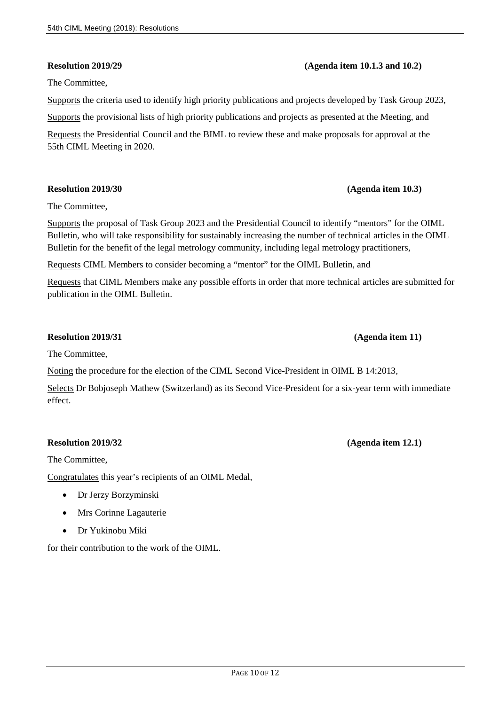#### **Resolution 2019/29 (Agenda item 10.1.3 and 10.2)**

The Committee,

Supports the criteria used to identify high priority publications and projects developed by Task Group 2023,

Supports the provisional lists of high priority publications and projects as presented at the Meeting, and

Requests the Presidential Council and the BIML to review these and make proposals for approval at the 55th CIML Meeting in 2020.

#### **Resolution 2019/30 (Agenda item 10.3)**

The Committee,

Supports the proposal of Task Group 2023 and the Presidential Council to identify "mentors" for the OIML Bulletin, who will take responsibility for sustainably increasing the number of technical articles in the OIML Bulletin for the benefit of the legal metrology community, including legal metrology practitioners,

Requests CIML Members to consider becoming a "mentor" for the OIML Bulletin, and

Requests that CIML Members make any possible efforts in order that more technical articles are submitted for publication in the OIML Bulletin.

#### **Resolution 2019/31 (Agenda item 11)**

The Committee,

Noting the procedure for the election of the CIML Second Vice-President in OIML B 14:2013,

Selects Dr Bobjoseph Mathew (Switzerland) as its Second Vice-President for a six-year term with immediate effect.

#### **Resolution 2019/32 (Agenda item 12.1)**

The Committee,

Congratulates this year's recipients of an OIML Medal,

- Dr Jerzy Borzyminski
- Mrs Corinne Lagauterie
- Dr Yukinobu Miki

for their contribution to the work of the OIML.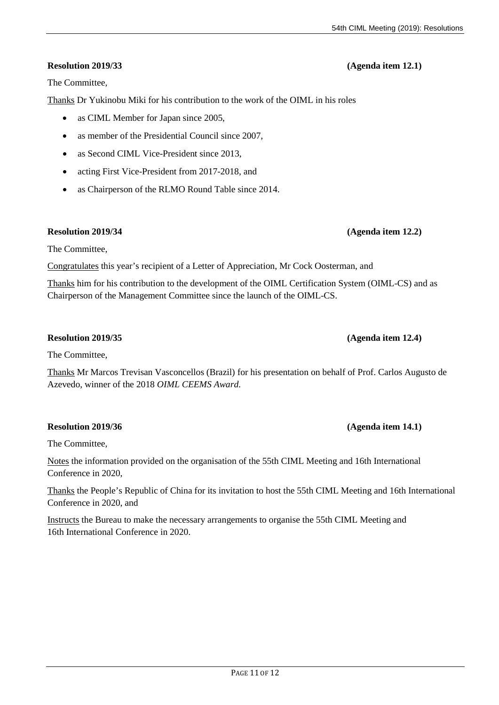### **Resolution 2019/33 (Agenda item 12.1)**

The Committee,

Thanks Dr Yukinobu Miki for his contribution to the work of the OIML in his roles

- as CIML Member for Japan since 2005,
- as member of the Presidential Council since 2007,
- as Second CIML Vice-President since 2013,
- acting First Vice-President from 2017-2018, and
- as Chairperson of the RLMO Round Table since 2014.

#### **Resolution 2019/34 (Agenda item 12.2)**

The Committee,

Congratulates this year's recipient of a Letter of Appreciation, Mr Cock Oosterman, and

Thanks him for his contribution to the development of the OIML Certification System (OIML-CS) and as Chairperson of the Management Committee since the launch of the OIML-CS.

#### **Resolution 2019/35 (Agenda item 12.4)**

The Committee,

Thanks Mr Marcos Trevisan Vasconcellos (Brazil) for his presentation on behalf of Prof. Carlos Augusto de Azevedo, winner of the 2018 *OIML CEEMS Award*.

#### **Resolution 2019/36 (Agenda item 14.1)**

The Committee,

Notes the information provided on the organisation of the 55th CIML Meeting and 16th International Conference in 2020,

Thanks the People's Republic of China for its invitation to host the 55th CIML Meeting and 16th International Conference in 2020, and

Instructs the Bureau to make the necessary arrangements to organise the 55th CIML Meeting and 16th International Conference in 2020.